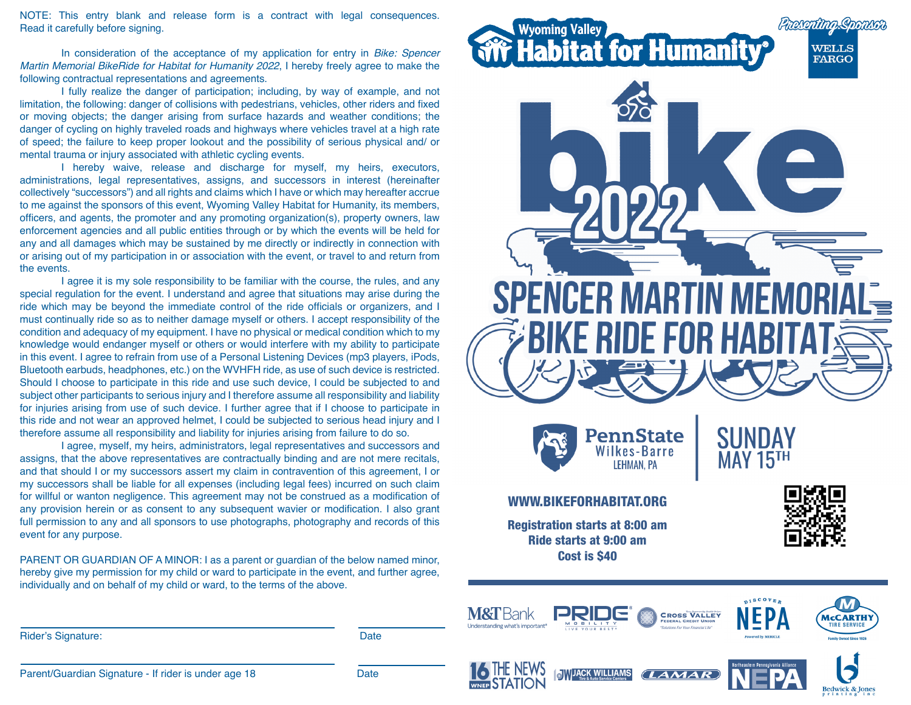NOTE: This entry blank and release form is a contract with legal consequences. Read it carefully before signing.

In consideration of the acceptance of my application for entry in *Bike: Spencer Martin Memorial BikeRide for Habitat for Humanity 2022*, I hereby freely agree to make the following contractual representations and agreements.

I fully realize the danger of participation; including, by way of example, and not limitation, the following: danger of collisions with pedestrians, vehicles, other riders and fixed or moving objects; the danger arising from surface hazards and weather conditions; the danger of cycling on highly traveled roads and highways where vehicles travel at a high rate of speed; the failure to keep proper lookout and the possibility of serious physical and/ or mental trauma or injury associated with athletic cycling events.

I hereby waive, release and discharge for myself, my heirs, executors, administrations, legal representatives, assigns, and successors in interest (hereinafter collectively "successors") and all rights and claims which I have or which may hereafter accrue to me against the sponsors of this event, Wyoming Valley Habitat for Humanity, its members, officers, and agents, the promoter and any promoting organization(s), property owners, law enforcement agencies and all public entities through or by which the events will be held for any and all damages which may be sustained by me directly or indirectly in connection with or arising out of my participation in or association with the event, or travel to and return from the events.

I agree it is my sole responsibility to be familiar with the course, the rules, and any special regulation for the event. I understand and agree that situations may arise during the ride which may be beyond the immediate control of the ride officials or organizers, and I must continually ride so as to neither damage myself or others. I accept responsibility of the condition and adequacy of my equipment. I have no physical or medical condition which to my knowledge would endanger myself or others or would interfere with my ability to participate in this event. I agree to refrain from use of a Personal Listening Devices (mp3 players, iPods, Bluetooth earbuds, headphones, etc.) on the WVHFH ride, as use of such device is restricted. Should I choose to participate in this ride and use such device, I could be subjected to and subject other participants to serious injury and I therefore assume all responsibility and liability for injuries arising from use of such device. I further agree that if I choose to participate in this ride and not wear an approved helmet, I could be subjected to serious head injury and I therefore assume all responsibility and liability for injuries arising from failure to do so.

I agree, myself, my heirs, administrators, legal representatives and successors and assigns, that the above representatives are contractually binding and are not mere recitals, and that should I or my successors assert my claim in contravention of this agreement, I or my successors shall be liable for all expenses (including legal fees) incurred on such claim for willful or wanton negligence. This agreement may not be construed as a modification of any provision herein or as consent to any subsequent wavier or modification. I also grant full permission to any and all sponsors to use photographs, photography and records of this event for any purpose.

PARENT OR GUARDIAN OF A MINOR: I as a parent or guardian of the below named minor, hereby give my permission for my child or ward to participate in the event, and further agree, individually and on behalf of my child or ward, to the terms of the above.

Rider's Signature: Date Date Communications and the Date Date Date Date Date





**NIMIJACK WILLIAMS** 





Parent/Guardian Signature - If rider is under age 18 Date